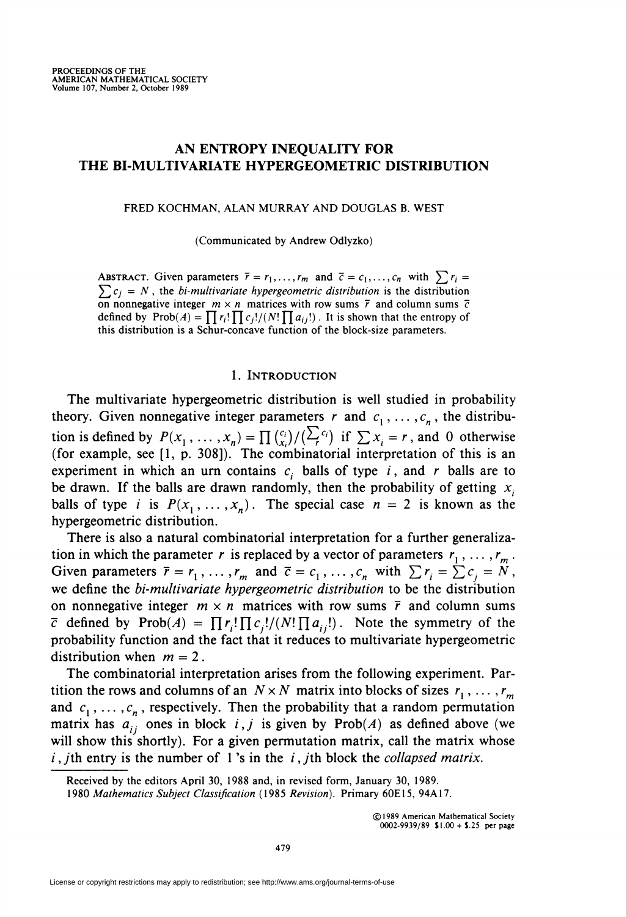# AN ENTROPY INEQUALITY FOR THE BI-MULTIVARIATE HYPERGEOMETRIC DISTRIBUTION

FRED KOCHMAN, ALAN MURRAY AND DOUGLAS B. WEST

(Communicated by Andrew Odlyzko)

ABSTRACT. Given parameters  $\bar{r} = r_1, \ldots, r_m$  and  $\bar{c} = c_1, \ldots, c_n$  with  $\sum r_i =$  $\sum c_j = N$ , the bi-multivariate hypergeometric distribution is the distribution on nonnegative integer  $m \times n$  matrices with row sums  $\bar{r}$  and column sums  $\bar{c}$ defined by  $Prob(A) = \prod r_i! \prod c_j!/(N! \prod a_{ij}!)$ . It is shown that the entropy of this distribution is a Schur-concave function of the block-size parameters.

## 1. Introduction

The multivariate hypergeometric distribution is well studied in probability theory. Given nonnegative integer parameters r and  $c_1, \ldots, c_n$ , the distribution is defined by  $P(x_1,\ldots,x_n) = \prod_{i} \binom{c_i}{x_i}/(\sum_{i} \binom{F}{i}$  if  $\sum x_i = r$ , and 0 otherwise (for example, see  $[1, p. 308]$ ). The combinatorial interpretation of this is an experiment in which an urn contains  $c_i$  balls of type i, and r balls are to be drawn. If the balls are drawn randomly, then the probability of getting  $x_i$ balls of type i is  $P(x_1, ..., x_n)$ . The special case  $n = 2$  is known as the hypergeometric distribution.

There is also a natural combinatorial interpretation for a further generalization in which the parameter r is replaced by a vector of parameters  $r_1, \ldots, r_m$ Given parameters  $\bar{r} = r_1, \ldots, r_m$  and  $\bar{c} = c_1, \ldots, c_n$  with  $\sum r_i = \sum c_i = N$ we define the *bi-multivariate hypergeometric distribution* to be the distribution on nonnegative integer  $m \times n$  matrices with row sums  $\bar{r}$  and column sums  $\bar{c}$  defined by Prob $(A) = \prod r_i!\prod c_j!/(N!\prod a_{ij}!)$ . Note the symmetry of the probability function and the fact that it reduces to multivariate hypergeometric distribution when  $m = 2$ .

The combinatorial interpretation arises from the following experiment. Partition the rows and columns of an  $N \times N$  matrix into blocks of sizes  $r_1, \ldots, r_m$ and  $c_1, \ldots, c_n$ , respectively. Then the probability that a random permutation matrix has  $a_{ij}$  ones in block i, j is given by Prob(A) as defined above (we will show this shortly). For a given permutation matrix, call the matrix whose  $i$ , jth entry is the number of 1's in the  $i$ , jth block the *collapsed matrix*.

Received by the editors April 30, 1988 and, in revised form, January 30, 1989.

<sup>1980</sup> Mathematics Subject Classification (1985 Revision). Primary 60E15, 94A17.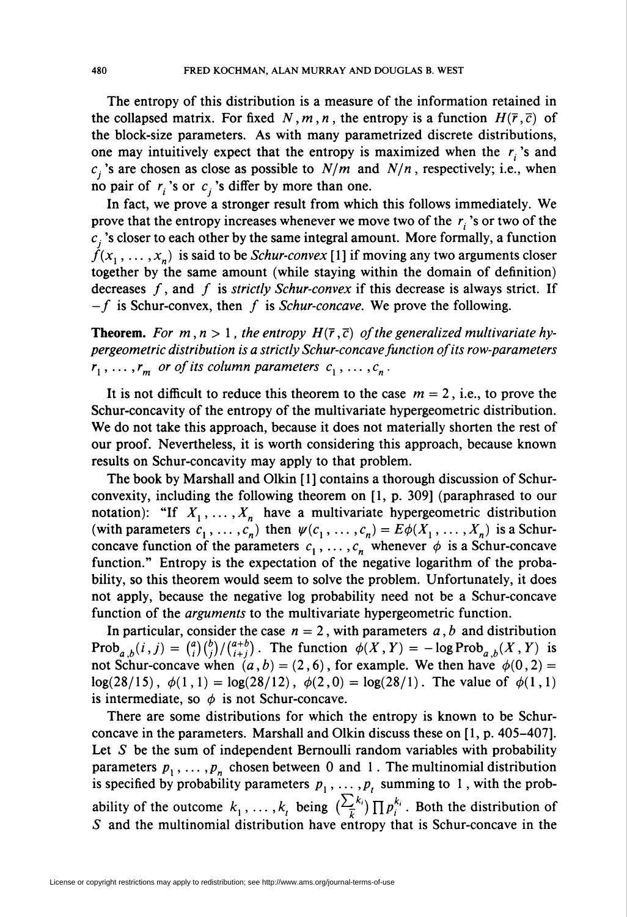The entropy of this distribution is a measure of the information retained in the collapsed matrix. For fixed N, m, n, the entropy is a function  $H(\overline{r},\overline{c})$  of the block-size parameters. As with many parametrized discrete distributions, one may intuitively expect that the entropy is maximized when the  $r_i$ 's and  $c_i$ 's are chosen as close as possible to  $N/m$  and  $N/n$ , respectively; i.e., when no pair of  $r_i$ 's or  $c_i$ 's differ by more than one.

In fact, we prove a stronger result from which this follows immediately. We prove that the entropy increases whenever we move two of the  $r_i$ 's or two of the  $c_j$ 's closer to each other by the same integral amount. More formally, a function  $f(x_1, \ldots, x_n)$  is said to be *Schur-convex* [1] if moving any two arguments closer together by the same amount (while staying within the domain of definition) decreases  $f$ , and  $f$  is strictly Schur-convex if this decrease is always strict. If  $-f$  is Schur-convex, then f is Schur-concave. We prove the following.

**Theorem.** For  $m, n > 1$ , the entropy  $H(\overline{r}, \overline{c})$  of the generalized multivariate hypergeometric distribution is a strictly Schur-concave function of its row-parameters  $r_1, \ldots, r_m$  or of its column parameters  $c_1, \ldots, c_n$ .

It is not difficult to reduce this theorem to the case  $m = 2$ , i.e., to prove the Schur-concavity of the entropy of the multivariate hypergeometric distribution. We do not take this approach, because it does not materially shorten the rest of our proof. Nevertheless, it is worth considering this approach, because known results on Schur-concavity may apply to that problem.

The book by Marshall and Olkin [1] contains a thorough discussion of Schurconvexity, including the following theorem on [1, p. 309] (paraphrased to our notation): "If  $X_1, \ldots, X_n$  have a multivariate hypergeometric distribution (with parameters  $c_1, \ldots, c_n$ ) then  $\psi(c_1, \ldots, c_n) = E\phi(X_1, \ldots, X_n)$  is a Schurconcave function of the parameters  $c_1, \ldots, c_n$  whenever  $\phi$  is a Schur-concave function." Entropy is the expectation of the negative logarithm of the probability, so this theorem would seem to solve the problem. Unfortunately, it does not apply, because the negative log probability need not be a Schur-concave function of the *arguments* to the multivariate hypergeometric function.

In particular, consider the case  $n = 2$ , with parameters a, b and distribution Prob<sub>a,b</sub> $(i,j) = {a \choose i}{b \choose j}/{a+b \choose i+j}$ . The function  $\phi(X,Y) = -\log \text{Prob}_{a,b}(X,Y)$  is not Schur-concave when  $(a, b) = (2, 6)$ , for example. We then have  $\phi(0, 2) =$  $\log(28/15)$ ,  $\phi(1,1) = \log(28/12)$ ,  $\phi(2,0) = \log(28/1)$ . The value of  $\phi(1,1)$ is intermediate, so  $\phi$  is not Schur-concave.

There are some distributions for which the entropy is known to be Schurconcave in the parameters. Marshall and Olkin discuss these on [1, p. 405-407]. Let  $S$  be the sum of independent Bernoulli random variables with probability parameters  $p_1, \ldots, p_n$  chosen between 0 and 1. The multinomial distribution is specified by probability parameters  $p_1, \ldots, p_t$  summing to 1, with the probability of the outcome  $k_1, \ldots, k_t$  being  $(\frac{\sum_i n_i}{\prod p_i^{k_i}})$ . Both the distribution of S and the multinomial distribution have entropy that is Schur-concave in the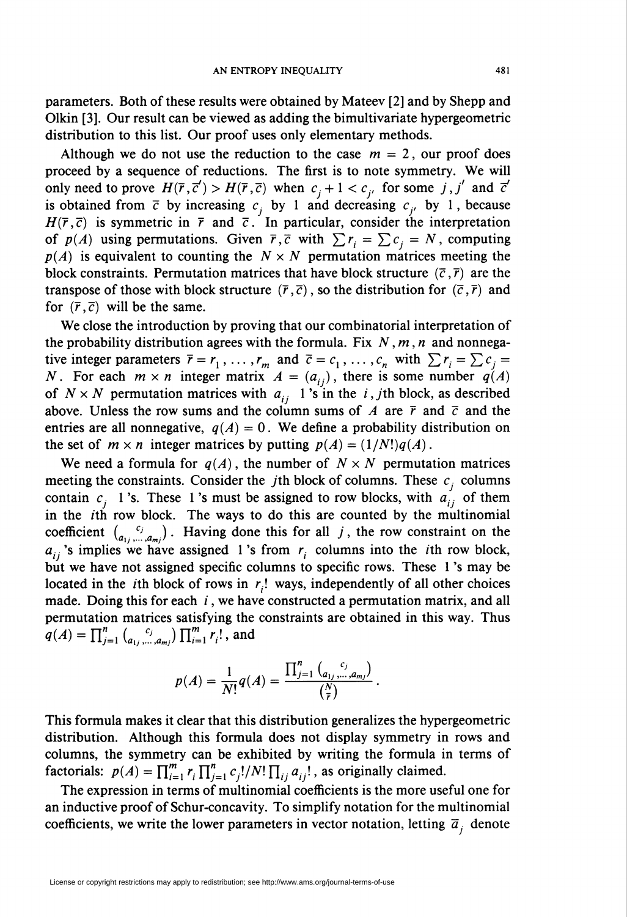parameters. Both of these results were obtained by Mateev [2] and by Shepp and Olkin [3]. Our result can be viewed as adding the bimultivariate hypergeometric distribution to this list. Our proof uses only elementary methods.

Although we do not use the reduction to the case  $m = 2$ , our proof does proceed by a sequence of reductions. The first is to note symmetry. We will only need to prove  $H(\overline{r}, \overline{c}') > H(\overline{r}, \overline{c})$  when  $c_i + 1 < c_i$  for some j, j' and  $\overline{c}'$ is obtained from  $\bar{c}$  by increasing  $c_i$  by 1 and decreasing  $c_i$ , by 1, because  $H(\overline{r},\overline{c})$  is symmetric in  $\overline{r}$  and  $\overline{c}$ . In particular, consider the interpretation of  $p(A)$  using permutations. Given  $\bar{r}, \bar{c}$  with  $\sum r_i = \sum c_i = N$ , computing  $p(A)$  is equivalent to counting the  $N \times N$  permutation matrices meeting the block constraints. Permutation matrices that have block structure  $(\bar{c}, \bar{r})$  are the transpose of those with block structure  $(\bar{r}, \bar{c})$ , so the distribution for  $(\bar{c}, \bar{r})$  and for  $(\bar{r}, \bar{c})$  will be the same.

We close the introduction by proving that our combinatorial interpretation of the probability distribution agrees with the formula. Fix  $N, m, n$  and nonnegative integer parameters  $\bar{r} = r_1,\ldots,r_m$  and  $\bar{c} = c_1,\ldots,c_n$  with  $\sum r_i = \sum c_i =$ N. For each  $m \times n$  integer matrix  $A = (a_{ij})$ , there is some number  $q(A)$ of  $N \times N$  permutation matrices with  $a_{ij}$  1's in the i, jth block, as described above. Unless the row sums and the column sums of A are  $\bar{r}$  and  $\bar{c}$  and the entries are all nonnegative,  $q(A) = 0$ . We define a probability distribution on the set of  $m \times n$  integer matrices by putting  $p(A) = (1/N!)q(A)$ .

We need a formula for  $q(A)$ , the number of  $N \times N$  permutation matrices meeting the constraints. Consider the *j*th block of columns. These  $c_i$  columns contain  $c_i$  1's. These 1's must be assigned to row blocks, with  $a'_{ii}$  of them in the  $i$ th row block. The ways to do this are counted by the multinomial coefficient  $\binom{c_j}{q}$ . Having done this for all j, the row constraint on the  $a_{ij}$ 's implies we have assigned 1's from  $r_i$  columns into the *i*th row block but we have not assigned specific columns to specific rows. These 1 's may be located in the *i*th block of rows in  $r_i!$  ways, independently of all other choices made. Doing this for each  $i$ , we have constructed a permutation matrix, and all permutation matrices satisfying the constraints are obtained in this way. Thus  $q(A) = \prod_{i=1}^{n} {c_i \choose a_1, \dots, a_m} \prod_{i=1}^{m} r_i!$ , and

$$
p(A) = \frac{1}{N!}q(A) = \frac{\prod_{j=1}^{n} {c_{i,j,\ldots,a_{mj}} \choose {r}}}{\binom{N}{r}}
$$

This formula makes it clear that this distribution generalizes the hypergeometric distribution. Although this formula does not display symmetry in rows and columns, the symmetry can be exhibited by writing the formula in terms of factorials:  $p(A) = \prod_{i=1}^m r_i \prod_{i=1}^n c_i! / N! \prod_{i \in \{i\}} a_{ij}!$ , as originally claimed.

The expression in terms of multinomial coefficients is the more useful one for an inductive proof of Schur-concavity. To simplify notation for the multinomial coefficients, we write the lower parameters in vector notation, letting  $\bar{a}_i$  denote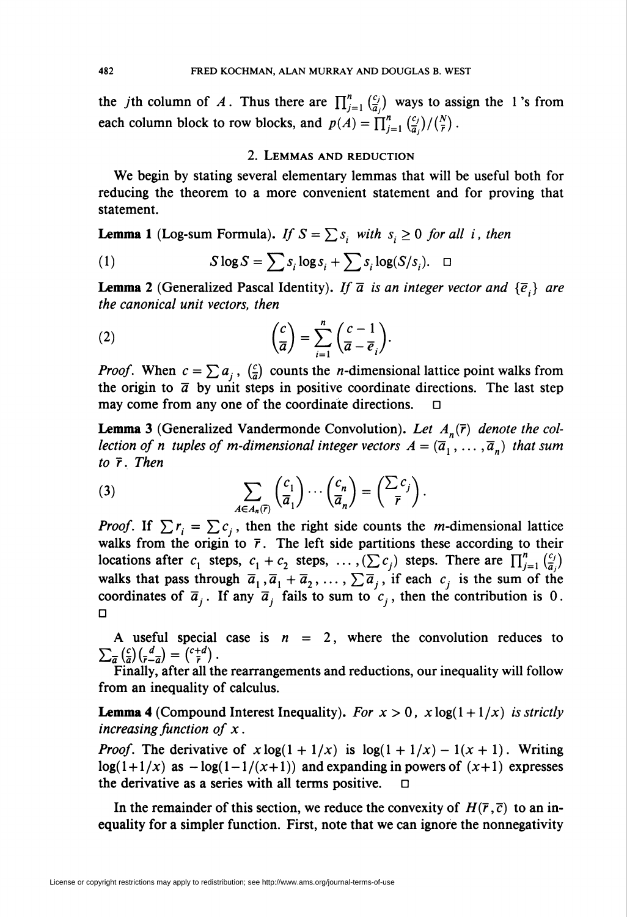the *j*th column of A. Thus there are  $\prod_{j=1}^{n} \binom{c_j}{\overline{a}_j}$  ways to assign the 1's from each column block to row blocks, and  $p(A) = \prod_{j=1}^{n} \binom{c_j}{\overline{a}_j} / \binom{N}{\overline{r}}$ .

### 2. Lemmas and reduction

We begin by stating several elementary lemmas that will be useful both for reducing the theorem to a more convenient statement and for proving that statement.

**Lemma 1** (Log-sum Formula). If  $S = \sum s_i$  with  $s_i \geq 0$  for all i, then

(1) 
$$
S \log S = \sum s_i \log s_i + \sum s_i \log(S/s_i). \quad \Box
$$

**Lemma 2** (Generalized Pascal Identity). If  $\bar{a}$  is an integer vector and  $\{\bar{e}_i\}$  are the canonical unit vectors, then

(2) 
$$
\left(\frac{c}{\overline{a}}\right) = \sum_{i=1}^{n} \left(\frac{c-1}{\overline{a}-\overline{e}_i}\right).
$$

*Proof.* When  $c = \sum a_i$ ,  $\left(\frac{c}{a}\right)$  counts the *n*-dimensional lattice point walks from the origin to  $\bar{a}$  by unit steps in positive coordinate directions. The last step may come from any one of the coordinate directions.  $\Box$ 

**Lemma 3** (Generalized Vandermonde Convolution). Let  $A_n(\overline{r})$  denote the collection of n tuples of m-dimensional integer vectors  $A = (\overline{a}_1, \ldots, \overline{a}_n)$  that sum to  $\bar{r}$ . Then

(3) 
$$
\sum_{A \in A_n(\overline{r})} \binom{c_1}{\overline{a}_1} \cdots \binom{c_n}{\overline{a}_n} = \binom{\sum c_j}{\overline{r}}.
$$

*Proof.* If  $\sum r_i = \sum c_i$ , then the right side counts the *m*-dimensional lattice walks from the origin to  $\bar{r}$ . The left side partitions these according to their locations after  $c_1$  steps,  $c_1 + c_2$  steps,  $\dots$ ,  $(\sum c_j)$  steps. There are  $\prod_{j=1}^{n} \binom{c_j}{\bar{a}_j}$ walks that pass through  $\overline{a}_1$ ,  $\overline{a}_1 + \overline{a}_2$ , ...,  $\sum \overline{a}_i$ , if each  $c_i$  is the sum of the coordinates of  $\overline{a}_{i}$ . If any  $\overline{a}_{i}$  fails to sum to  $c_{i}$ , then the contribution is 0. ü

A useful special case is  $n = 2$ , where the convolution reduces to  $\sum_{\overline{a}} \left(\frac{c}{a}\right) \left(\frac{d}{r-a}\right) = \binom{c+d}{r}.$ 

Finally, after all the rearrangements and reductions, our inequality will follow from an inequality of calculus.

**Lemma 4** (Compound Interest Inequality). For  $x > 0$ ,  $x \log(1 + 1/x)$  is strictly increasing function of  $x$ .

*Proof.* The derivative of  $x \log(1 + 1/x)$  is  $\log(1 + 1/x) - 1(x + 1)$ . Writing  $log(1+1/x)$  as  $-log(1-1/(x+1))$  and expanding in powers of  $(x+1)$  expresses the derivative as a series with all terms positive.

In the remainder of this section, we reduce the convexity of  $H(\overline{r}, \overline{c})$  to an inequality for a simpler function. First, note that we can ignore the nonnegativity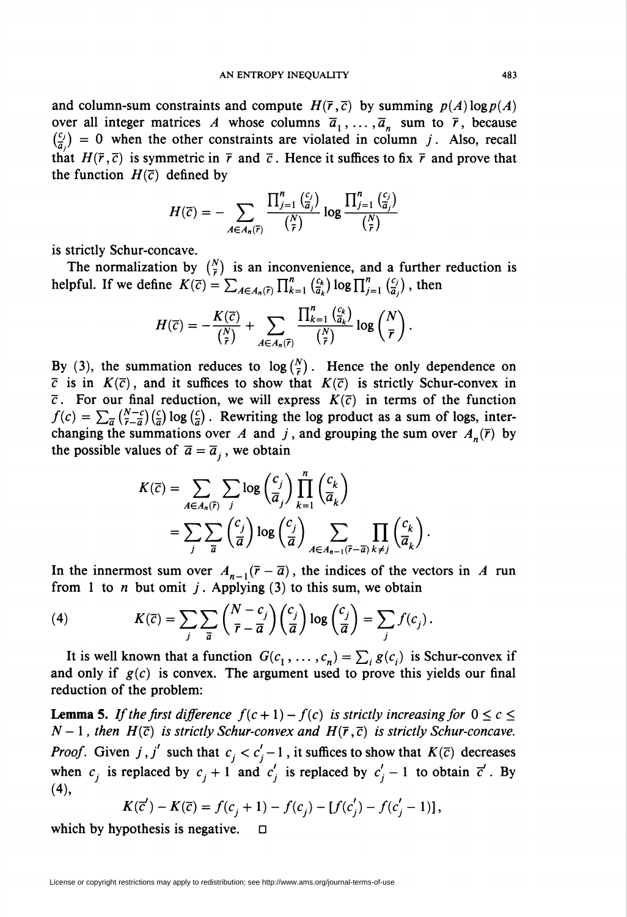and column-sum constraints and compute  $H(\overline{r},\overline{c})$  by summing  $p(A) \log p(A)$ over all integer matrices A whose columns  $\overline{a}_1, \ldots, \overline{a}_n$  sum to  $\overline{r}$ , because  $\binom{c_j}{\overline{a}_j} = 0$  when the other constraints are violated in column j. Also, recall that  $H(\bar{r}, \bar{c})$  is symmetric in  $\bar{r}$  and  $\bar{c}$ . Hence it suffices to fix  $\bar{r}$  and prove that the function  $H(\overline{c})$  defined by

$$
H(\overline{c}) = -\sum_{A \in A_n(\overline{r})} \frac{\prod_{j=1}^n \frac{c_j}{(\overline{a}_j)}}{\binom{N}{\overline{r}}} \log \frac{\prod_{j=1}^n \frac{c_j}{(\overline{a}_j)}}{\binom{N}{\overline{r}}}
$$

is strictly Schur-concave.

The normalization by  $\binom{N}{r}$  is an inconvenience, and a further reduction is helpful. If we define  $K(\bar{c}) = \sum_{A \in A_n(\bar{r})} \prod_{k=1}^n \binom{c_k}{\bar{a}_k} \log \prod_{j=1}^n \binom{c_j}{\bar{a}_j}$ , then

$$
H(\overline{c}) = -\frac{K(\overline{c})}{\binom{N}{\overline{r}}} + \sum_{A \in A_n(\overline{r})} \frac{\prod_{k=1}^n \binom{c_k}{\overline{a}_k}}{\binom{N}{\overline{r}}} \log \binom{N}{\overline{r}}.
$$

By (3), the summation reduces to  $\log(\frac{N}{r})$ . Hence the only dependence on  $\bar{c}$  is in  $K(\bar{c})$ , and it suffices to show that  $K(\bar{c})$  is strictly Schur-convex in  $\bar{c}$ . For our final reduction, we will express  $K(\bar{c})$  in terms of the function  $f(c) = \sum_{\overline{a}} \binom{N-c}{\overline{r}-\overline{a}} \binom{c}{\overline{a}} \log \binom{c}{\overline{a}}$ . Rewriting the log product as a sum of logs, interchanging the summations over A and j, and grouping the sum over  $A_n(\bar{r})$  by the possible values of  $\overline{a} = \overline{a}_{i}$ , we obtain

$$
K(\overline{c}) = \sum_{A \in A_n(\overline{r})} \sum_j \log \left( \frac{c_j}{\overline{a}_j} \right) \prod_{k=1}^n \left( \frac{c_k}{\overline{a}_k} \right)
$$
  
= 
$$
\sum_j \sum_{\overline{a}} \left( \frac{c_j}{\overline{a}} \right) \log \left( \frac{c_j}{\overline{a}} \right) \sum_{A \in A_{n-1}(\overline{r}-\overline{a})} \prod_{k \neq j} \left( \frac{c_k}{\overline{a}_k} \right).
$$

In the innermost sum over  $A_{n-1}(\bar{r} - \bar{a})$ , the indices of the vectors in A run from 1 to *n* but omit *j*. Applying (3) to this sum, we obtain

(4) 
$$
K(\overline{c}) = \sum_{j} \sum_{\overline{a}} {N - c_j \choose \overline{r} - \overline{a}} {c_j \choose \overline{a}} \log {c_j \choose \overline{a}} = \sum_{j} f(c_j).
$$

It is well known that a function  $G(c_1, \ldots, c_n) = \sum_i g(c_i)$  is Schur-convex if and only if  $g(c)$  is convex. The argument used to prove this yields our final reduction of the problem:

**Lemma 5.** If the first difference  $f(c + 1) - f(c)$  is strictly increasing for  $0 \le c \le$  $N-1$ , then  $H(\bar{c})$  is strictly Schur-convex and  $H(\bar{r}, \bar{c})$  is strictly Schur-concave. *Proof.* Given j, j' such that  $c_j < c'_j - 1$ , it suffices to show that  $K(\bar{c})$  decreases when  $c_j$  is replaced by  $c_j + 1$  and  $c'_j$  is replaced by  $c'_j - 1$  to obtain  $\overline{c}'$ . By (4),

$$
K(\overline{c}') - K(\overline{c}) = f(c_j + 1) - f(c_j) - [f(c'_j) - f(c'_j - 1)],
$$

which by hypothesis is negative.  $\Box$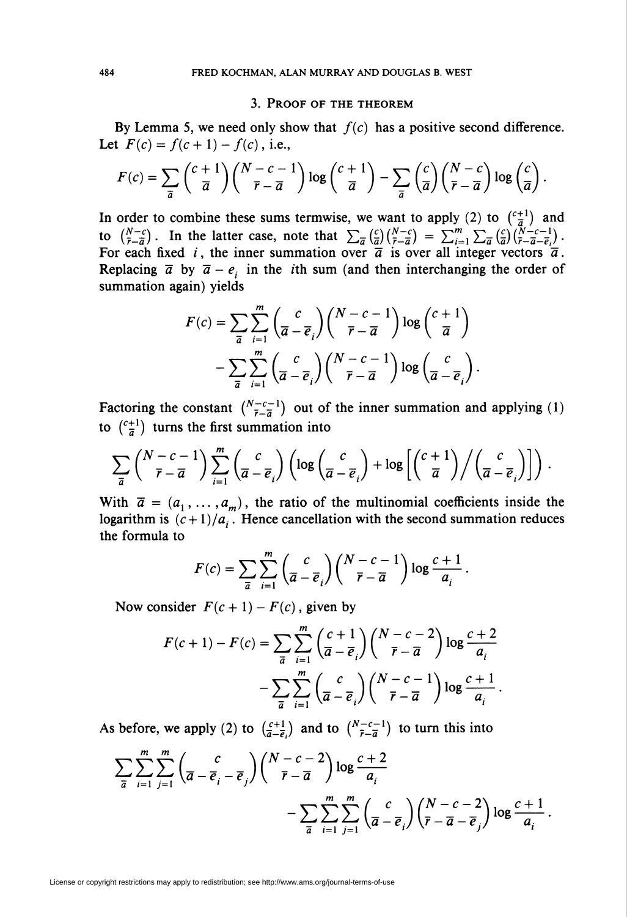#### 3. Proof of the theorem

By Lemma 5, we need only show that  $f(c)$  has a positive second difference. Let  $F(c) = f(c+1) - f(c)$ , i.e.,

$$
F(c) = \sum_{\overline{a}} {\binom{c+1}{\overline{a}}} {\binom{N-c-1}{\overline{r}-\overline{a}}} \log {\binom{c+1}{\overline{a}}} - \sum_{\overline{a}} {\binom{c}{\overline{a}}} {\binom{N-c}{\overline{r}-\overline{a}}} \log {\binom{c}{\overline{a}}}.
$$

In order to combine these sums termwise, we want to apply (2) to  $\binom{c+1}{7}$  and to  $\binom{N-c}{\bar{r}-\bar{a}}$ . In the latter case, note that  $\sum_{\bar{a}}\binom{c}{\bar{a}}\binom{N-c}{\bar{r}-\bar{a}} = \sum_{i=1}^{m}\sum_{\bar{a}}\binom{c}{\bar{a}}\binom{N-c-1}{\bar{r}-\bar{a}-\bar{a}}$ . For each fixed i, the inner summation over  $\overline{a}$  is over all integer vectors  $\overline{a}$ Replacing  $\bar{a}$  by  $\bar{a} - e_i$  in the *i*th sum (and then interchanging the order of summation again) yields

$$
F(c) = \sum_{\overline{a}} \sum_{i=1}^{m} {c \choose \overline{a} - \overline{e}_i} {N - c - 1 \choose \overline{r} - \overline{a}} \log {c + 1 \choose \overline{a}} - \sum_{\overline{a}} \sum_{i=1}^{m} {c \choose \overline{a} - \overline{e}_i} {N - c - 1 \choose \overline{r} - \overline{a}} \log {c \choose \overline{a} - \overline{e}_i}.
$$

Factoring the constant  $\binom{N-c-1}{\bar{r}-\bar{a}}$  out of the inner summation and applying (1) to  $\binom{c+1}{\overline{a}}$  turns the first summation into

$$
\sum_{\overline{a}} {N-c-1 \choose \overline{r}-\overline{a}} \sum_{i=1}^{m} {c \choose \overline{a}-\overline{e}_i} \left(\log {c \choose \overline{a}-\overline{e}_i} + \log \left[ {c+1 \choose \overline{a}} \middle/ {c \choose \overline{a}-\overline{e}_i} \right] \right).
$$

With  $\bar{a} = (a_1, \ldots, a_m)$ , the ratio of the multinomial coefficients inside the logarithm is  $(c+1)/a_i$ . Hence cancellation with the second summation reduces the formula to

$$
F(c) = \sum_{\overline{a}} \sum_{i=1}^{m} {c \choose \overline{a} - \overline{e}_i} {N - c - 1 \choose \overline{r} - \overline{a}} \log \frac{c+1}{a_i}.
$$

Now consider  $F(c + 1) - F(c)$ , given by

$$
F(c+1) - F(c) = \sum_{\overline{a}} \sum_{i=1}^{m} \left(\frac{c+1}{\overline{a} - \overline{e}_i}\right) \left(\frac{N-c-2}{\overline{r} - \overline{a}}\right) \log \frac{c+2}{a_i}
$$

$$
- \sum_{\overline{a}} \sum_{i=1}^{m} \left(\frac{c}{\overline{a} - \overline{e}_i}\right) \left(\frac{N-c-1}{\overline{r} - \overline{a}}\right) \log \frac{c+1}{a_i}.
$$

As before, we apply (2) to  $\left(\frac{c+1}{a-\overline{e}}\right)$  and to  $\left(\frac{N-c-1}{\overline{e}-\overline{a}}\right)$  to turn this into

$$
\sum_{\overline{a}} \sum_{i=1}^{m} \sum_{j=1}^{m} \left( \frac{c}{\overline{a} - \overline{e}_i - \overline{e}_j} \right) {N - c - 2 \choose \overline{r} - \overline{a}} \log \frac{c+2}{a_i}
$$
  
- 
$$
\sum_{\overline{a}} \sum_{i=1}^{m} \sum_{j=1}^{m} \left( \frac{c}{\overline{a} - \overline{e}_i} \right) {N - c - 2 \choose \overline{r} - \overline{a} - \overline{e}_j} \log \frac{c+1}{a_i}.
$$